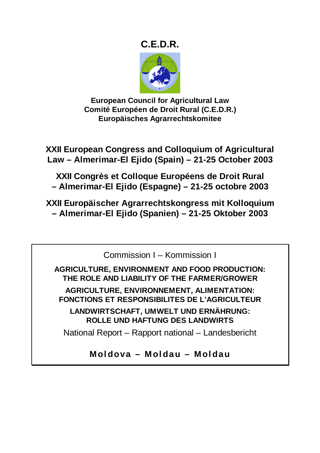## **C.E.D.R.**



**European Council for Agricultural Law Comité Européen de Droit Rural (C.E.D.R.) Europäisches Agrarrechtskomitee** 

**XXII European Congress and Colloquium of Agricultural Law – Almerimar-El Ejido (Spain) – 21-25 October 2003** 

**XXII Congrès et Colloque Européens de Droit Rural – Almerimar-El Ejido (Espagne) – 21-25 octobre 2003** 

**XXII Europäischer Agrarrechtskongress mit Kolloquium – Almerimar-El Ejido (Spanien) – 21-25 Oktober 2003** 

Commission I – Kommission I

**AGRICULTURE, ENVIRONMENT AND FOOD PRODUCTION: THE ROLE AND LIABILITY OF THE FARMER/GROWER AGRICULTURE, ENVIRONNEMENT, ALIMENTATION: FONCTIONS ET RESPONSIBILITES DE L'AGRICULTEUR** 

**LANDWIRTSCHAFT, UMWELT UND ERNÄHRUNG: ROLLE UND HAFTUNG DES LANDWIRTS** 

National Report – Rapport national – Landesbericht

**Moldova – Moldau – Moldau**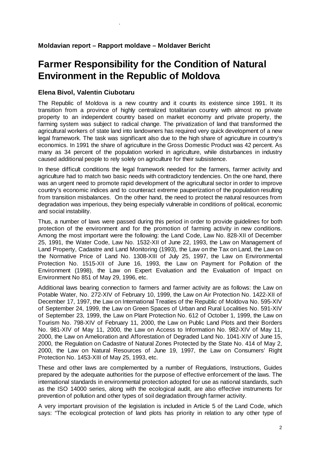## **Farmer Responsibility for the Condition of Natural Environment in the Republic of Moldova**

## **Elena Bivol, Valentin Ciubotaru**

.

The Republic of Moldova is a new country and it counts its existence since 1991. It its transition from a province of highly centralized totalitarian country with almost no private property to an independent country based on market economy and private property, the farming system was subject to radical change. The privatization of land that transformed the agricultural workers of state land into landowners has required very quick development of a new legal framework. The task was significant also due to the high share of agriculture in country's economics. In 1991 the share of agriculture in the Gross Domestic Product was 42 percent. As many as 34 percent of the population worked in agriculture, while disturbances in industry caused additional people to rely solely on agriculture for their subsistence.

In these difficult conditions the legal framework needed for the farmers, farmer activity and agriculture had to match two basic needs with contradictory tendencies. On the one hand, there was an urgent need to promote rapid development of the agricultural sector in order to improve country's economic indices and to counteract extreme pauperization of the population resulting from transition misbalances. On the other hand, the need to protect the natural resources from degradation was imperious, they being especially vulnerable in conditions of political, economic and social instability.

Thus, a number of laws were passed during this period in order to provide guidelines for both protection of the environment and for the promotion of farming activity in new conditions. Among the most important were the following: the Land Code, Law No. 828-XII of December 25, 1991, the Water Code, Law No. 1532-XII of June 22, 1993, the Law on Management of Land Property, Cadastre and Land Monitoring (1993), the Law on the Tax on Land, the Law on the Normative Price of Land No. 1308-XIII of July 25, 1997, the Law on Environmental Protection No. 1515-XII of June 16, 1993, the Law on Payment for Pollution of the Environment (1998), the Law on Expert Evaluation and the Evaluation of Impact on Environment No 851 of May 29, 1996, etc.

Additional laws bearing connection to farmers and farmer activity are as follows: the Law on Potable Water, No. 272-XIV of February 10, 1999, the Law on Air Protection No. 1422-XII of December 17, 1997, the Law on International Treaties of the Republic of Moldova No. 595-XIV of September 24, 1999, the Law on Green Spaces of Urban and Rural Localities No. 591-XIV of September 23, 1999, the Law on Plant Protection No. 612 of October 1, 1999, the Law on Tourism No. 798-XIV of February 11, 2000, the Law on Public Land Plots and their Borders No. 981-XIV of May 11, 2000, the Law on Access to Information No. 982-XIV of May 11, 2000, the Law on Amelioration and Afforestation of Degraded Land No. 1041-XIV of June 15, 2000, the Regulation on Cadastre of Natural Zones Protected by the State No. 414 of May 2, 2000, the Law on Natural Resources of June 19, 1997, the Law on Consumers' Right Protection No. 1453-XIII of May 25, 1993, etc.

These and other laws are complemented by a number of Regulations, Instructions, Guides prepared by the adequate authorities for the purpose of effective enforcement of the laws. The international standards in environmental protection adopted for use as national standards, such as the ISO 14000 series, along with the ecological audit, are also effective instruments for prevention of pollution and other types of soil degradation through farmer activity.

A very important provision of the legislation is included in Article 5 of the Land Code, which says: "The ecological protection of land plots has priority in relation to any other type of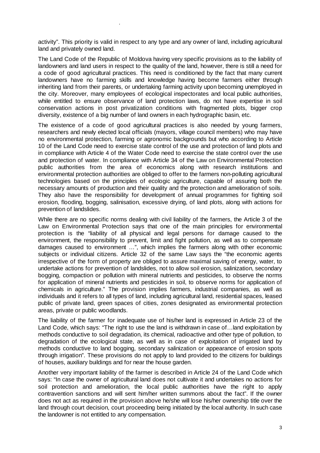activity". This priority is valid in respect to any type and any owner of land, including agricultural land and privately owned land.

.

The Land Code of the Republic of Moldova having very specific provisions as to the liability of landowners and land users in respect to the quality of the land, however, there is still a need for a code of good agricultural practices. This need is conditioned by the fact that many current landowners have no farming skills and knowledge having become farmers either through inheriting land from their parents, or undertaking farming activity upon becoming unemployed in the city. Moreover, many employees of ecological inspectorates and local public authorities, while entitled to ensure observance of land protection laws, do not have expertise in soil conservation actions in post privatization conditions with fragmented plots, bigger crop diversity, existence of a big number of land owners in each hydrographic basin, etc.

The existence of a code of good agricultural practices is also needed by young farmers, researchers and newly elected local officials (mayors, village council members) who may have no environmental protection, farming or agronomic backgrounds but who according to Article 10 of the Land Code need to exercise state control of the use and protection of land plots and in compliance with Article 4 of the Water Code need to exercise the state control over the use and protection of water. In compliance with Article 34 of the Law on Environmental Protection public authorities from the area of economics along with research institutions and environmental protection authorities are obliged to offer to the farmers non-polluting agricultural technologies based on the principles of ecologic agriculture, capable of assuring both the necessary amounts of production and their quality and the protection and amelioration of soils. They also have the responsibility for development of annual programmes for fighting soil erosion, flooding, bogging, salinisation, excessive drying, of land plots, along with actions for prevention of landslides.

While there are no specific norms dealing with civil liability of the farmers, the Article 3 of the Law on Environmental Protection says that one of the main principles for environmental protection is the "liability of all physical and legal persons for damage caused to the environment, the responsibility to prevent, limit and fight pollution, as well as to compensate damages caused to environment …", which implies the farmers along with other economic subjects or individual citizens. Article 32 of the same Law says the "the economic agents irrespective of the form of property are obliged to assure maximal saving of energy, water, to undertake actions for prevention of landslides, not to allow soil erosion, salinization, secondary bogging, compaction or pollution with mineral nutrients and pesticides, to observe the norms for application of mineral nutrients and pesticides in soil, to observe norms for application of chemicals in agriculture." The provision implies farmers, industrial companies, as well as individuals and it refers to all types of land, including agricultural land, residential spaces, leased public of private land, green spaces of cities, zones designated as environmental protection areas, private or public woodlands.

The liability of the farmer for inadequate use of his/her land is expressed in Article 23 of the Land Code, which says: "The right to use the land is withdrawn in case of... land exploitation by methods conductive to soil degradation, its chemical, radioactive and other type of pollution, to degradation of the ecological state, as well as in case of exploitation of irrigated land by methods conductive to land bogging, secondary salinization or appearance of erosion spots through irrigation". These provisions do not apply to land provided to the citizens for buildings of houses, auxiliary buildings and for near the house garden.

Another very important liability of the farmer is described in Article 24 of the Land Code which says: "In case the owner of agricultural land does not cultivate it and undertakes no actions for soil protection and amelioration, the local public authorities have the right to apply contravention sanctions and will sent him/her written summons about the fact". If the owner does not act as required in the provision above he/she will lose his/her ownership title over the land through court decision, court proceeding being initiated by the local authority. In such case the landowner is not entitled to any compensation.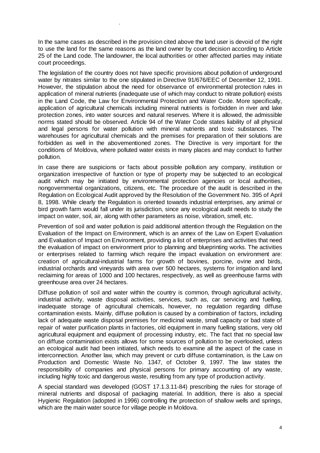In the same cases as described in the provision cited above the land user is devoid of the right to use the land for the same reasons as the land owner by court decision according to Article 25 of the Land code. The landowner, the local authorities or other affected parties may initiate court proceedings.

.

The legislation of the country does not have specific provisions about pollution of underground water by nitrates similar to the one stipulated in Directive 91/676/EEC of December 12, 1991. However, the stipulation about the need for observance of environmental protection rules in application of mineral nutrients (inadequate use of which may conduct to nitrate pollution) exists in the Land Code, the Law for Environmental Protection and Water Code. More specifically, application of agricultural chemicals including mineral nutrients is forbidden in river and lake protection zones, into water sources and natural reserves. Where it is allowed, the admissible norms stated should be observed. Article 94 of the Water Code states liability of all physical and legal persons for water pollution with mineral nutrients and toxic substances. The warehouses for agricultural chemicals and the premises for preparation of their solutions are forbidden as well in the abovementioned zones. The Directive is very important for the conditions of Moldova, where polluted water exists in many places and may conduct to further pollution.

In case there are suspicions or facts about possible pollution any company, institution or organization irrespective of function or type of property may be subjected to an ecological audit which may be initiated by environmental protection agencies or local authorities, nongovernmental organizations, citizens, etc. The procedure of the audit is described in the Regulation on Ecological Audit approved by the Resolution of the Government No. 395 of April 8, 1998. While clearly the Regulation is oriented towards industrial enterprises, any animal or bird growth farm would fall under its jurisdiction, since any ecological audit needs to study the impact on water, soil, air, along with other parameters as noise, vibration, smell, etc.

Prevention of soil and water pollution is paid additional attention through the Regulation on the Evaluation of the Impact on Environment, which is an annex of the Law on Expert Evaluation and Evaluation of Impact on Environment, providing a list of enterprises and activities that need the evaluation of impact on environment prior to planning and blueprinting works. The activities or enterprises related to farming which require the impact evaluation on environment are: creation of agricultural-industrial farms for growth of bovines, porcine, ovine and birds, industrial orchards and vineyards with area over 500 hectares, systems for irrigation and land reclaiming for areas of 1000 and 100 hectares, respectively, as well as greenhouse farms with greenhouse area over 24 hectares.

Diffuse pollution of soil and water within the country is common, through agricultural activity, industrial activity, waste disposal activities, services, such as, car servicing and fuelling, inadequate storage of agricultural chemicals, however, no regulation regarding diffuse contamination exists. Mainly, diffuse pollution is caused by a combination of factors, including lack of adequate waste disposal premises for medicinal waste, small capacity or bad state of repair of water purification plants in factories, old equipment in many fuelling stations, very old agricultural equipment and equipment of processing industry, etc. The fact that no special law on diffuse contamination exists allows for some sources of pollution to be overlooked, unless an ecological audit had been initiated, which needs to examine all the aspect of the case in interconnection. Another law, which may prevent or curb diffuse contamination, is the Law on Production and Domestic Waste No. 1347, of October 9, 1997. The law states the responsibility of companies and physical persons for primary accounting of any waste, including highly toxic and dangerous waste, resulting from any type of production activity.

A special standard was developed (GOST 17.1.3.11-84) prescribing the rules for storage of mineral nutrients and disposal of packaging material. In addition, there is also a special Hygienic Regulation (adopted in 1996) controlling the protection of shallow wells and springs, which are the main water source for village people in Moldova.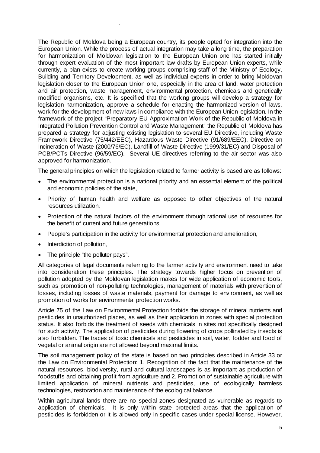The Republic of Moldova being a European country, its people opted for integration into the European Union. While the process of actual integration may take a long time, the preparation for harmonization of Moldovan legislation to the European Union one has started initially through expert evaluation of the most important law drafts by European Union experts, while currently, a plan exists to create working groups comprising staff of the Ministry of Ecology, Building and Territory Development, as well as individual experts in order to bring Moldovan legislation closer to the European Union one, especially in the area of land, water protection and air protection, waste management, environmental protection, chemicals and genetically modified organisms, etc. It is specified that the working groups will develop a strategy for legislation harmonization, approve a schedule for enacting the harmonized version of laws, work for the development of new laws in compliance with the European Union legislation. In the framework of the project "Preparatory EU Approximation Work of the Republic of Moldova in Integrated Pollution Prevention Control and Waste Management" the Republic of Moldova has prepared a strategy for adjusting existing legislation to several EU Directive, including Waste Framework Directive (75/442/EEC), Hazardous Waste Directive (91/689/EEC), Directive on Incineration of Waste (2000/76/EC), Landfill of Waste Directive (1999/31/EC) and Disposal of PCB/PCTs Directive (96/59/EC). Several UE directives referring to the air sector was also approved for harmonization.

The general principles on which the legislation related to farmer activity is based are as follows:

- The environmental protection is a national priority and an essential element of the political and economic policies of the state,
- Priority of human health and welfare as opposed to other objectives of the natural resources utilization,
- Protection of the natural factors of the environment through rational use of resources for the benefit of current and future generations,
- People's participation in the activity for environmental protection and amelioration,
- Interdiction of pollution,
- The principle "the polluter pays".

.

All categories of legal documents referring to the farmer activity and environment need to take into consideration these principles. The strategy towards higher focus on prevention of pollution adopted by the Moldovan legislation makes for wide application of economic tools, such as promotion of non-polluting technologies, management of materials with prevention of losses, including losses of waste materials, payment for damage to environment, as well as promotion of works for environmental protection works.

Article 75 of the Law on Environmental Protection forbids the storage of mineral nutrients and pesticides in unauthorized places, as well as their application in zones with special protection status. It also forbids the treatment of seeds with chemicals in sites not specifically designed for such activity. The application of pesticides during flowering of crops pollinated by insects is also forbidden. The traces of toxic chemicals and pesticides in soil, water, fodder and food of vegetal or animal origin are not allowed beyond maximal limits.

The soil management policy of the state is based on two principles described in Article 33 or the Law on Environmental Protection: 1. Recognition of the fact that the maintenance of the natural resources, biodiversity, rural and cultural landscapes is as important as production of foodstuffs and obtaining profit from agriculture and 2. Promotion of sustainable agriculture with limited application of mineral nutrients and pesticides, use of ecologically harmless technologies, restoration and maintenance of the ecological balance.

Within agricultural lands there are no special zones designated as vulnerable as regards to application of chemicals. It is only within state protected areas that the application of pesticides is forbidden or it is allowed only in specific cases under special license. However,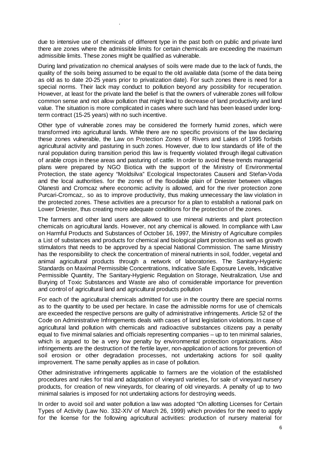due to intensive use of chemicals of different type in the past both on public and private land there are zones where the admissible limits for certain chemicals are exceeding the maximum admissible limits. These zones might be qualified as vulnerable.

.

During land privatization no chemical analyses of soils were made due to the lack of funds, the quality of the soils being assumed to be equal to the old available data (some of the data being as old as to date 20-25 years prior to privatization date). For such zones there is need for a special norms. Their lack may conduct to pollution beyond any possibility for recuperation. However, at least for the private land the belief is that the owners of vulnerable zones will follow common sense and not allow pollution that might lead to decrease of land productivity and land value. The situation is more complicated in cases where such land has been leased under longterm contract (15-25 years) with no such incentive.

Other type of vulnerable zones may be considered the formerly humid zones, which were transformed into agricultural lands. While there are no specific provisions of the law declaring these zones vulnerable, the Law on Protection Zones of Rivers and Lakes of 1995 forbids agricultural activity and pasturing in such zones. However, due to low standards of life of the rural population during transition period this law is frequently violated through illegal cultivation of arable crops in these areas and pasturing of cattle. In order to avoid these trends managerial plans were prepared by NGO Biotica with the support of the Ministry of Environmental Protection, the state agency "Moldsilva" Ecological Inspectorates Causeni and Stefan-Voda and the local authorities. for the zones of the floodable plain of Dniester between villages Olanesti and Cromcaz where economic activity is allowed, and for the river protection zone Purcari-Cromcaz,. so as to improve productivity, thus making unnecessary the law violation in the protected zones. These activities are a precursor for a plan to establish a national park on Lower Dniester, thus creating more adequate conditions for the protection of the zones.

The farmers and other land users are allowed to use mineral nutrients and plant protection chemicals on agricultural lands. However, not any chemical is allowed. In compliance with Law on Harmful Products and Substances of October 16, 1997, the Ministry of Agriculture compiles a List of substances and products for chemical and biological plant protection as well as growth stimulators that needs to be approved by a special National Commission. The same Ministry has the responsibility to check the concentration of mineral nutrients in soil, fodder, vegetal and animal agricultural products through a network of laboratories. The Sanitary-Hygienic Standards on Maximal Permissible Concentrations, Indicative Safe Exposure Levels, Indicative Permissible Quantity, The Sanitary-Hygienic Regulation on Storage, Neutralization, Use and Burying of Toxic Substances and Waste are also of considerable importance for prevention and control of agricultural land and agricultural products pollution

For each of the agricultural chemicals admitted for use in the country there are special norms as to the quantity to be used per hectare. In case the admissible norms for use of chemicals are exceeded the respective persons are guilty of administrative infringements. Article 52 of the Code on Administrative Infringements deals with cases of land legislation violations. In case of agricultural land pollution with chemicals and radioactive substances citizens pay a penalty equal to five minimal salaries and officials representing companies – up to ten minimal salaries, which is argued to be a very low penalty by environmental protection organizations. Also infringements are the destruction of the fertile layer, non-application of actions for prevention of soil erosion or other degradation processes, not undertaking actions for soil quality improvement. The same penalty applies as in case of pollution.

Other administrative infringements applicable to farmers are the violation of the established procedures and rules for trial and adaptation of vineyard varieties, for sale of vineyard nursery products, for creation of new vineyards, for clearing of old vineyards. A penalty of up to two minimal salaries is imposed for not undertaking actions for destroying weeds.

In order to avoid soil and water pollution a law was adopted "On allotting Licenses for Certain Types of Activity (Law No. 332-XIV of March 26, 1999) which provides for the need to apply for the license for the following agricultural activities: production of nursery material for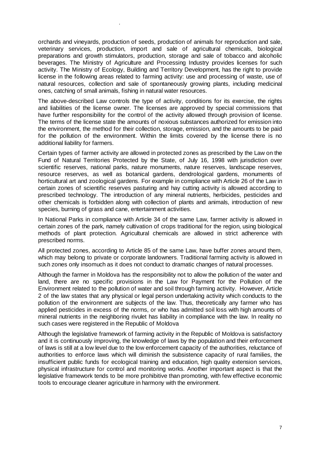orchards and vineyards, production of seeds, production of animals for reproduction and sale, veterinary services, production, import and sale of agricultural chemicals, biological preparations and growth stimulators, production, storage and sale of tobacco and alcoholic beverages. The Ministry of Agriculture and Processing Industry provides licenses for such activity. The Ministry of Ecology, Building and Territory Development, has the right to provide license in the following areas related to farming activity: use and processing of waste, use of natural resources, collection and sale of spontaneously growing plants, including medicinal ones, catching of small animals, fishing in natural water resources.

.

The above-described Law controls the type of activity, conditions for its exercise, the rights and liabilities of the license owner. The licenses are approved by special commissions that have further responsibility for the control of the activity allowed through provision of license. The terms of the license state the amounts of noxious substances authorized for emission into the environment, the method for their collection, storage, emission, and the amounts to be paid for the pollution of the environment. Within the limits covered by the license there is no additional liability for farmers.

Certain types of farmer activity are allowed in protected zones as prescribed by the Law on the Fund of Natural Territories Protected by the State, of July 16, 1998 with jurisdiction over scientific reserves, national parks, nature monuments, nature reserves, landscape reserves, resource reserves, as well as botanical gardens, dendrological gardens, monuments of horticultural art and zoological gardens. For example in compliance with Article 26 of the Law in certain zones of scientific reserves pasturing and hay cutting activity is allowed according to prescribed technology. The introduction of any mineral nutrients, herbicides, pesticides and other chemicals is forbidden along with collection of plants and animals, introduction of new species, burning of grass and cane, entertainment activities.

In National Parks in compliance with Article 34 of the same Law, farmer activity is allowed in certain zones of the park, namely cultivation of crops traditional for the region, using biological methods of plant protection. Agricultural chemicals are allowed in strict adherence with prescribed norms.

All protected zones, according to Article 85 of the same Law, have buffer zones around them, which may belong to private or corporate landowners. Traditional farming activity is allowed in such zones only insomuch as it does not conduct to dramatic changes of natural processes.

Although the farmer in Moldova has the responsibility not to allow the pollution of the water and land, there are no specific provisions in the Law for Payment for the Pollution of the Environment related to the pollution of water and soil through farming activity. However, Article 2 of the law states that any physical or legal person undertaking activity which conducts to the pollution of the environment are subjects of the law. Thus, theoretically any farmer who has applied pesticides in excess of the norms, or who has admitted soil loss with high amounts of mineral nutrients in the neighboring rivulet has liability in compliance with the law. In reality no such cases were registered in the Republic of Moldova

Although the legislative framework of farming activity in the Republic of Moldova is satisfactory and it is continuously improving, the knowledge of laws by the population and their enforcement of laws is still at a low level due to the low enforcement capacity of the authorities, reluctance of authorities to enforce laws which will diminish the subsistence capacity of rural families, the insufficient public funds for ecological training and education, high quality extension services, physical infrastructure for control and monitoring works. Another important aspect is that the legislative framework tends to be more prohibitive than promoting, with few effective economic tools to encourage cleaner agriculture in harmony with the environment.